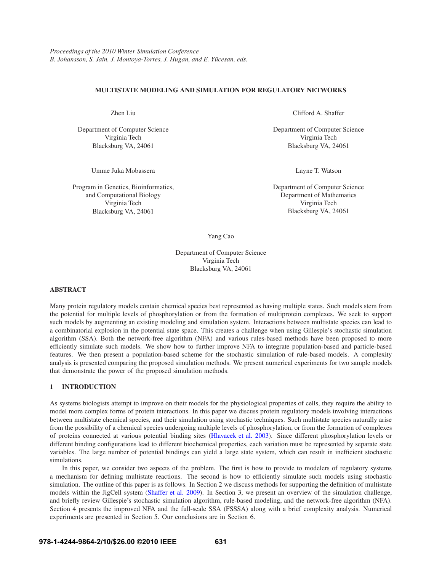## **MULTISTATE MODELING AND SIMULATION FOR REGULATORY NETWORKS**

Zhen Liu

Department of Computer Science Virginia Tech Blacksburg VA, 24061

Umme Juka Mobassera

Program in Genetics, Bioinformatics, and Computational Biology Virginia Tech Blacksburg VA, 24061

Clifford A. Shaffer

Department of Computer Science Virginia Tech Blacksburg VA, 24061

Layne T. Watson

Department of Computer Science Department of Mathematics Virginia Tech Blacksburg VA, 24061

Yang Cao

Department of Computer Science Virginia Tech Blacksburg VA, 24061

## **ABSTRACT**

Many protein regulatory models contain chemical species best represented as having multiple states. Such models stem from the potential for multiple levels of phosphorylation or from the formation of multiprotein complexes. We seek to support such models by augmenting an existing modeling and simulation system. Interactions between multistate species can lead to a combinatorial explosion in the potential state space. This creates a challenge when using Gillespie's stochastic simulation algorithm (SSA). Both the network-free algorithm (NFA) and various rules-based methods have been proposed to more efficiently simulate such models. We show how to further improve NFA to integrate population-based and particle-based features. We then present a population-based scheme for the stochastic simulation of rule-based models. A complexity analysis is presented comparing the proposed simulation methods. We present numerical experiments for two sample models that demonstrate the power of the proposed simulation methods.

## **1 INTRODUCTION**

As systems biologists attempt to improve on their models for the physiological properties of cells, they require the ability to model more complex forms of protein interactions. In this paper we discuss protein regulatory models involving interactions between multistate chemical species, and their simulation using stochastic techniques. Such multistate species naturally arise from the possibility of a chemical species undergoing multiple levels of phosphorylation, or from the formation of complexes of proteins connected at various potential binding sites (Hlavacek et al. 2003). Since different phosphorylation levels or different binding configurations lead to different biochemical properties, each variation must be represented by separate state variables. The large number of potential bindings can yield a large state system, which can result in inefficient stochastic simulations.

In this paper, we consider two aspects of the problem. The first is how to provide to modelers of regulatory systems a mechanism for defining multistate reactions. The second is how to efficiently simulate such models using stochastic simulation. The outline of this paper is as follows. In Section 2 we discuss methods for supporting the definition of multistate models within the JigCell system (Shaffer et al. 2009). In Section 3, we present an overview of the simulation challenge, and briefly review Gillespie's stochastic simulation algorithm, rule-based modeling, and the network-free algorithm (NFA). Section 4 presents the improved NFA and the full-scale SSA (FSSSA) along with a brief complexity analysis. Numerical experiments are presented in Section 5. Our conclusions are in Section 6.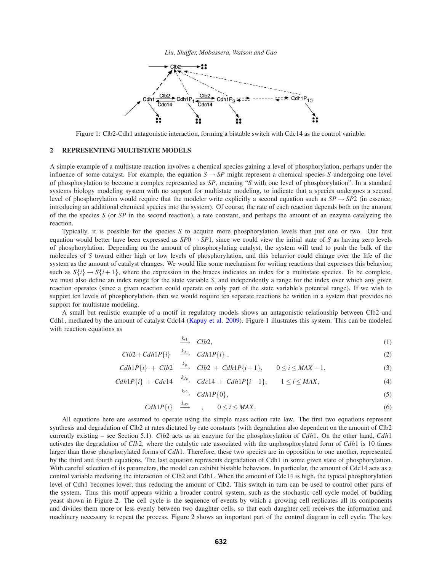



Figure 1: Clb2-Cdh1 antagonistic interaction, forming a bistable switch with Cdc14 as the control variable.

### **2 REPRESENTING MULTISTATE MODELS**

A simple example of a multistate reaction involves a chemical species gaining a level of phosphorylation, perhaps under the influence of some catalyst. For example, the equation  $S \rightarrow SP$  might represent a chemical species *S* undergoing one level of phosphorylation to become a complex represented as *SP*, meaning "*S* with one level of phosphorylation". In a standard systems biology modeling system with no support for multistate modeling, to indicate that a species undergoes a second level of phosphorylation would require that the modeler write explicitly a second equation such as  $SP \rightarrow SP2$  (in essence, introducing an additional chemical species into the system). Of course, the rate of each reaction depends both on the amount of the the species *S* (or *SP* in the second reaction), a rate constant, and perhaps the amount of an enzyme catalyzing the reaction.

Typically, it is possible for the species *S* to acquire more phosphorylation levels than just one or two. Our first equation would better have been expressed as  $SP0 \rightarrow SP1$ , since we could view the initial state of *S* as having zero levels of phosphorylation. Depending on the amount of phosphorylating catalyst, the system will tend to push the bulk of the molecules of *S* toward either high or low levels of phosphorylation, and this behavior could change over the life of the system as the amount of catalyst changes. We would like some mechanism for writing reactions that expresses this behavior, such as  $S{i} \rightarrow S{i+1}$ , where the expression in the braces indicates an index for a multistate species. To be complete, we must also define an index range for the state variable *S*, and independently a range for the index over which any given reaction operates (since a given reaction could operate on only part of the state variable's potential range). If we wish to support ten levels of phosphorylation, then we would require ten separate reactions be written in a system that provides no support for multistate modeling.

A small but realistic example of a motif in regulatory models shows an antagonistic relationship between Clb2 and Cdh1, mediated by the amount of catalyst Cdc14 (Kapuy et al. 2009). Figure 1 illustrates this system. This can be modeled with reaction equations as

$$
\phi \xrightarrow{k_{s1}} Clb2,
$$
\n(1)

$$
Clb2 + Cdh1P\{i\} \xrightarrow{k_{d1}} Cdh1P\{i\},\tag{2}
$$

$$
Cdh1P\{i\} + Clb2 \xrightarrow{k_p} Clb2 + Cdh1P\{i+1\}, \qquad 0 \le i \le MAX - 1,\tag{3}
$$

$$
Cdh1P\{i\} + Cdc14 \xrightarrow{k_{dp}} Cdc14 + Cdh1P\{i-1\}, \qquad 1 \le i \le MAX,\tag{4}
$$

$$
\phi \xrightarrow{k_{s2}} Cdh1P\{0\},\tag{5}
$$

$$
Cdh1P\{i\} \quad \xrightarrow{k_{d2}} \quad \phi, \qquad 0 \le i \le MAX. \tag{6}
$$

All equations here are assumed to operate using the simple mass action rate law. The first two equations represent synthesis and degradation of Clb2 at rates dictated by rate constants (with degradation also dependent on the amount of Clb2 currently existing – see Section 5.1). *Clb*2 acts as an enzyme for the phosphorylation of *Cdh*1. On the other hand, *Cdh*1 activates the degradation of *Clb*2, where the catalytic rate associated with the unphosphorylated form of *Cdh*1 is 10 times larger than those phosphorylated forms of *Cdh*1. Therefore, these two species are in opposition to one another, represented by the third and fourth equations. The last equation represents degradation of Cdh1 in some given state of phosphorylation. With careful selection of its parameters, the model can exhibit bistable behaviors. In particular, the amount of Cdc14 acts as a control variable mediating the interaction of Clb2 and Cdh1. When the amount of Cdc14 is high, the typical phosphorylation level of Cdh1 becomes lower, thus reducing the amount of Clb2. This switch in turn can be used to control other parts of the system. Thus this motif appears within a broader control system, such as the stochastic cell cycle model of budding yeast shown in Figure 2. The cell cycle is the sequence of events by which a growing cell replicates all its components and divides them more or less evenly between two daughter cells, so that each daughter cell receives the information and machinery necessary to repeat the process. Figure 2 shows an important part of the control diagram in cell cycle. The key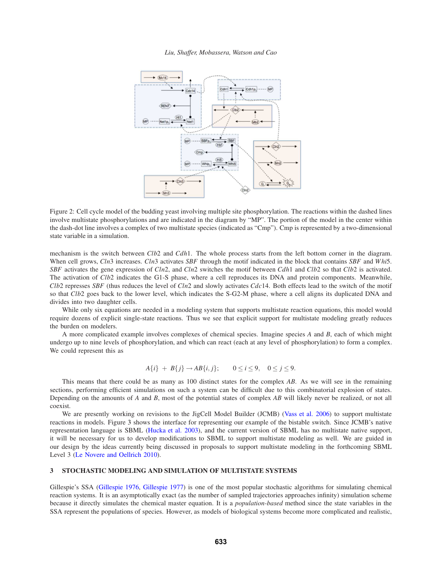

Figure 2: Cell cycle model of the budding yeast involving multiple site phosphorylation. The reactions within the dashed lines involve multistate phosphorylations and are indicated in the diagram by "MP". The portion of the model in the center within the dash-dot line involves a complex of two multistate species (indicated as "Cmp"). Cmp is represented by a two-dimensional state variable in a simulation.

mechanism is the switch between *Clb*2 and *Cdh*1. The whole process starts from the left bottom corner in the diagram. When cell grows, *Cln*3 increases. *Cln*3 activates *SBF* through the motif indicated in the block that contains *SBF* and *Whi*5. *SBF* activates the gene expression of *Cln*2, and *Cln*2 switches the motif between *Cdh*1 and *Clb*2 so that *Clb*2 is activated. The activation of *Clb*2 indicates the G1-S phase, where a cell reproduces its DNA and protein components. Meanwhile, *Clb*2 represses *SBF* (thus reduces the level of *Cln*2 and slowly activates *Cdc*14. Both effects lead to the switch of the motif so that *Clb*2 goes back to the lower level, which indicates the S-G2-M phase, where a cell aligns its duplicated DNA and divides into two daughter cells.

While only six equations are needed in a modeling system that supports multistate reaction equations, this model would require dozens of explicit single-state reactions. Thus we see that explicit support for multistate modeling greatly reduces the burden on modelers.

A more complicated example involves complexes of chemical species. Imagine species *A* and *B*, each of which might undergo up to nine levels of phosphorylation, and which can react (each at any level of phosphorylation) to form a complex. We could represent this as

$$
A\{i\} + B\{j\} \rightarrow AB\{i, j\}; \quad 0 \le i \le 9, \quad 0 \le j \le 9.
$$

This means that there could be as many as 100 distinct states for the complex *AB*. As we will see in the remaining sections, performing efficient simulations on such a system can be difficult due to this combinatorial explosion of states. Depending on the amounts of *A* and *B*, most of the potential states of complex *AB* will likely never be realized, or not all coexist.

We are presently working on revisions to the JigCell Model Builder (JCMB) (Vass et al. 2006) to support multistate reactions in models. Figure 3 shows the interface for representing our example of the bistable switch. Since JCMB's native representation language is SBML (Hucka et al. 2003), and the current version of SBML has no multistate native support, it will be necessary for us to develop modifications to SBML to support multistate modeling as well. We are guided in our design by the ideas currently being discussed in proposals to support multistate modeling in the forthcoming SBML Level 3 (Le Novere and Oellrich 2010).

## **3 STOCHASTIC MODELING AND SIMULATION OF MULTISTATE SYSTEMS**

Gillespie's SSA (Gillespie 1976, Gillespie 1977) is one of the most popular stochastic algorithms for simulating chemical reaction systems. It is an asymptotically exact (as the number of sampled trajectories approaches infinity) simulation scheme because it directly simulates the chemical master equation. It is a *population-based* method since the state variables in the SSA represent the populations of species. However, as models of biological systems become more complicated and realistic,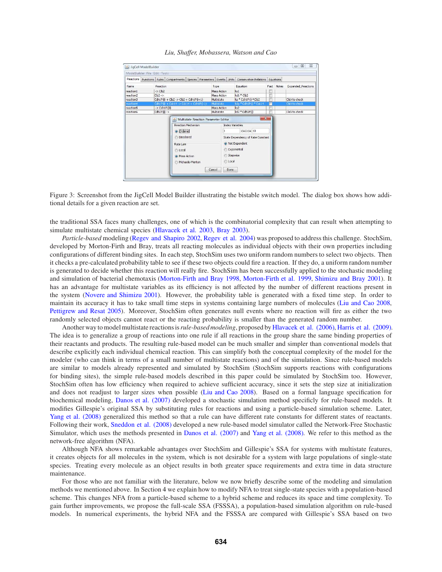|  |  | Liu, Shaffer, Mobassera, Watson and Cao |  |  |  |
|--|--|-----------------------------------------|--|--|--|
|--|--|-----------------------------------------|--|--|--|

|                        | ModelBuilder File Edit Tools         |                                                            |                    |                                   |      |            |                           |
|------------------------|--------------------------------------|------------------------------------------------------------|--------------------|-----------------------------------|------|------------|---------------------------|
|                        | Reactions Functions Rules            | Compartments Species Parameters Events Units               |                    | <b>Conservation Relations</b>     |      | Equations  |                           |
| <b>Name</b>            | Reaction                             |                                                            | Type               | Equation                          |      | Fast Notes | <b>Expanded Reactions</b> |
| reaction1              | $\rightarrow$ Clb <sub>2</sub>       |                                                            | Mass Action        | $\vert$ ks1                       |      |            |                           |
| $Cb2 - >$<br>reaction2 |                                      | Mass Action                                                | kd1 * Clb2         | F                                 |      |            |                           |
| reaction3              | Cdh1P{i} + Clb2 -> Clb2 + Cdh1P{i+1} |                                                            | Multistate         | kp * Cdh1P{i} * Clb2              |      |            | Click to check            |
| reaction4              |                                      | $Cdh1P\{i\} + Cdc14 - > Cdc14 + Cdh1P\{i-1\}$              | Multistate         | $kdp * Cdh1P\{i\}$ $= Cdc14$      |      |            | Click to check            |
| reaction5              | $-$ > Cdh1P{0}                       |                                                            | <b>Mass Action</b> | ks2                               |      |            |                           |
| reaction6              | Cdh1P{i} ->                          |                                                            | Multistate         | kd2 * Cdh1P{i}                    |      |            | Click to check            |
|                        |                                      | O Drdered                                                  | 1                  | $\leq i \leq 10$                  |      |            |                           |
|                        |                                      | Multistate Reaction Parameter Editor<br>Reaction Mechanism |                    | <b>Index Variables</b>            | $-2$ |            |                           |
|                        |                                      | <b>Disodered</b>                                           |                    | State Dependency of Rate Constant |      |            |                           |
|                        |                                      |                                                            |                    |                                   |      |            |                           |
|                        |                                      | Rate Law                                                   |                    | O Not Dependent                   |      |            |                           |
|                        |                                      | local                                                      |                    | <b>Exponential</b>                |      |            |                           |
|                        |                                      | O Mass Action                                              |                    | Stepwise                          |      |            |                           |
|                        |                                      |                                                            |                    |                                   |      |            |                           |
|                        |                                      | Michaelis-Menten                                           | C Local            |                                   |      |            |                           |
|                        |                                      |                                                            |                    |                                   |      |            |                           |

Figure 3: Screenshot from the JigCell Model Builder illustrating the bistable switch model. The dialog box shows how additional details for a given reaction are set.

the traditional SSA faces many challenges, one of which is the combinatorial complexity that can result when attempting to simulate multistate chemical species (Hlavacek et al. 2003, Bray 2003).

*Particle-based* modeling (Regev and Shapiro 2002, Regev et al. 2004) was proposed to address this challenge. StochSim, developed by Morton-Firth and Bray, treats all reacting molecules as individual objects with their own properties including configurations of different binding sites. In each step, StochSim uses two uniform random numbers to select two objects. Then it checks a pre-calculated probability table to see if these two objects could fire a reaction. If they do, a uniform random number is generated to decide whether this reaction will really fire. StochSim has been successfully applied to the stochastic modeling and simulation of bacterial chemotaxis (Morton-Firth and Bray 1998, Morton-Firth et al. 1999, Shimizu and Bray 2001). It has an advantage for multistate variables as its efficiency is not affected by the number of different reactions present in the system (Novere and Shimizu 2001). However, the probability table is generated with a fixed time step. In order to maintain its accuracy it has to take small time steps in systems containing large numbers of molecules (Liu and Cao 2008, Pettigrew and Resat 2005). Moreover, StochSim often generates null events where no reaction will fire as either the two randomly selected objects cannot react or the reacting probability is smaller than the generated random number.

Another way to model multistate reactions is*rule-based modeling*, proposed by Hlavacek et al. (2006), Harris et al. (2009). The idea is to generalize a group of reactions into one rule if all reactions in the group share the same binding properties of their reactants and products. The resulting rule-based model can be much smaller and simpler than conventional models that describe explicitly each individual chemical reaction. This can simplify both the conceptual complexity of the model for the modeler (who can think in terms of a small number of multistate reactions) and of the simulation. Since rule-based models are similar to models already represented and simulated by StochSim (StochSim supports reactions with configurations for binding sites), the simple rule-based models described in this paper could be simulated by StochSim too. However, StochSim often has low efficiency when required to achieve sufficient accuracy, since it sets the step size at initialization and does not readjust to larger sizes when possible (Liu and Cao 2008). Based on a formal language specification for biochemical modeling, Danos et al. (2007) developed a stochastic simulation method specificly for rule-based models. It modifies Gillespie's original SSA by substituting rules for reactions and using a particle-based simulation scheme. Later, Yang et al. (2008) generalized this method so that a rule can have different rate constants for different states of reactants. Following their work, Sneddon et al. (2008) developed a new rule-based model simulator called the Network-Free Stochastic Simulator, which uses the methods presented in Danos et al. (2007) and Yang et al. (2008). We refer to this method as the network-free algorithm (NFA).

Although NFA shows remarkable advantages over StochSim and Gillespie's SSA for systems with multistate features, it creates objects for all molecules in the system, which is not desirable for a system with large populations of single-state species. Treating every molecule as an object results in both greater space requirements and extra time in data structure maintenance.

For those who are not familiar with the literature, below we now briefly describe some of the modeling and simulation methods we mentioned above. In Section 4 we explain how to modify NFA to treat single-state species with a population-based scheme. This changes NFA from a particle-based scheme to a hybrid scheme and reduces its space and time complexity. To gain further improvements, we propose the full-scale SSA (FSSSA), a population-based simulation algorithm on rule-based models. In numerical experiments, the hybrid NFA and the FSSSA are compared with Gillespie's SSA based on two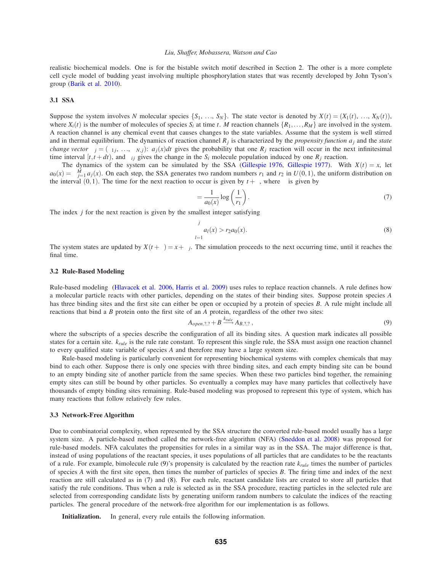realistic biochemical models. One is for the bistable switch motif described in Section 2. The other is a more complete cell cycle model of budding yeast involving multiple phosphorylation states that was recently developed by John Tyson's group (Barik et al. 2010).

## **3.1 SSA**

Suppose the system involves *N* molecular species  $\{S_1, \ldots, S_N\}$ . The state vector is denoted by  $X(t) = (X_1(t), \ldots, X_N(t)),$ where  $X_i(t)$  is the number of molecules of species  $S_i$  at time *t*. *M* reaction channels  $\{R_1, \ldots, R_M\}$  are involved in the system. A reaction channel is any chemical event that causes changes to the state variables. Assume that the system is well stirred and in thermal equilibrium. The dynamics of reaction channel  $R_j$  is characterized by the *propensity function*  $a_j$  and the *state change vector*  $v_j = (v_{1j}, \ldots, v_{N,j})$ :  $a_j(x)dt$  gives the probability that one  $R_j$  reaction will occur in the next infinitesimal time interval  $[t, t + dt)$ , and  $v_{ij}$  gives the change in the  $S_i$  molecule population induced by one  $R_j$  reaction.

The dynamics of the system can be simulated by the SSA (Gillespie 1976, Gillespie 1977). With  $X(t) = x$ , let  $a_0(x) = \sum_{j=1}^{M} a_j(x)$ . On each step, the SSA generates two random numbers  $r_1$  and  $r_2$  in  $U(0,1)$ , the uniform distribution on the interval  $(0,1)$ . The time for the next reaction to occur is given by  $t + \tau$ , where  $\tau$  is given by

$$
\tau = \frac{1}{a_0(x)} \log \left( \frac{1}{r_1} \right). \tag{7}
$$

The index *j* for the next reaction is given by the smallest integer satisfying

$$
\sum_{l=1}^{j} a_l(x) > r_2 a_0(x). \tag{8}
$$

The system states are updated by  $X(t + \tau) = x + v_i$ . The simulation proceeds to the next occurring time, until it reaches the final time.

## **3.2 Rule-Based Modeling**

Rule-based modeling (Hlavacek et al. 2006, Harris et al. 2009) uses rules to replace reaction channels. A rule defines how a molecular particle reacts with other particles, depending on the states of their binding sites. Suppose protein species *A* has three binding sites and the first site can either be open or occupied by a protein of species *B*. A rule might include all reactions that bind a *B* protein onto the first site of an *A* protein, regardless of the other two sites:

$$
A_{open,?,?} + B \xrightarrow{k_{rule}} A_{B,?,?}, \tag{9}
$$

where the subscripts of a species describe the configuration of all its binding sites. A question mark indicates all possible states for a certain site.  $k_{rule}$  is the rule rate constant. To represent this single rule, the SSA must assign one reaction channel to every qualified state variable of species *A* and therefore may have a large system size.

Rule-based modeling is particularly convenient for representing biochemical systems with complex chemicals that may bind to each other. Suppose there is only one species with three binding sites, and each empty binding site can be bound to an empty binding site of another particle from the same species. When these two particles bind together, the remaining empty sites can still be bound by other particles. So eventually a complex may have many particles that collectively have thousands of empty binding sites remaining. Rule-based modeling was proposed to represent this type of system, which has many reactions that follow relatively few rules.

#### **3.3 Network-Free Algorithm**

Due to combinatorial complexity, when represented by the SSA structure the converted rule-based model usually has a large system size. A particle-based method called the network-free algorithm (NFA) (Sneddon et al. 2008) was proposed for rule-based models. NFA calculates the propensities for rules in a similar way as in the SSA. The major difference is that, instead of using populations of the reactant species, it uses populations of all particles that are candidates to be the reactants of a rule. For example, bimolecule rule  $(9)$ 's propensity is calculated by the reaction rate  $k_{rule}$  times the number of particles of species *A* with the first site open, then times the number of particles of species *B*. The firing time and index of the next reaction are still calculated as in (7) and (8). For each rule, reactant candidate lists are created to store all particles that satisfy the rule conditions. Thus when a rule is selected as in the SSA procedure, reacting particles in the selected rule are selected from corresponding candidate lists by generating uniform random numbers to calculate the indices of the reacting particles. The general procedure of the network-free algorithm for our implementation is as follows.

**Initialization.** In general, every rule entails the following information.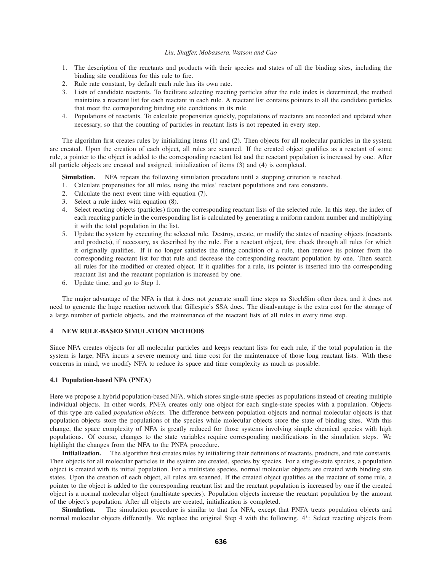- 1. The description of the reactants and products with their species and states of all the binding sites, including the binding site conditions for this rule to fire.
- 2. Rule rate constant, by default each rule has its own rate.
- 3. Lists of candidate reactants. To facilitate selecting reacting particles after the rule index is determined, the method maintains a reactant list for each reactant in each rule. A reactant list contains pointers to all the candidate particles that meet the corresponding binding site conditions in its rule.
- 4. Populations of reactants. To calculate propensities quickly, populations of reactants are recorded and updated when necessary, so that the counting of particles in reactant lists is not repeated in every step.

The algorithm first creates rules by initializing items (1) and (2). Then objects for all molecular particles in the system are created. Upon the creation of each object, all rules are scanned. If the created object qualifies as a reactant of some rule, a pointer to the object is added to the corresponding reactant list and the reactant population is increased by one. After all particle objects are created and assigned, initialization of items (3) and (4) is completed.

**Simulation.** NFA repeats the following simulation procedure until a stopping criterion is reached.

- 1. Calculate propensities for all rules, using the rules' reactant populations and rate constants.
- 2. Calculate the next event time with equation (7).
- 3. Select a rule index with equation (8).
- 4. Select reacting objects (particles) from the corresponding reactant lists of the selected rule. In this step, the index of each reacting particle in the corresponding list is calculated by generating a uniform random number and multiplying it with the total population in the list.
- 5. Update the system by executing the selected rule. Destroy, create, or modify the states of reacting objects (reactants and products), if necessary, as described by the rule. For a reactant object, first check through all rules for which it originally qualifies. If it no longer satisfies the firing condition of a rule, then remove its pointer from the corresponding reactant list for that rule and decrease the corresponding reactant population by one. Then search all rules for the modified or created object. If it qualifies for a rule, its pointer is inserted into the corresponding reactant list and the reactant population is increased by one.
- 6. Update time, and go to Step 1.

The major advantage of the NFA is that it does not generate small time steps as StochSim often does, and it does not need to generate the huge reaction network that Gillespie's SSA does. The disadvantage is the extra cost for the storage of a large number of particle objects, and the maintenance of the reactant lists of all rules in every time step.

### **4 NEW RULE-BASED SIMULATION METHODS**

Since NFA creates objects for all molecular particles and keeps reactant lists for each rule, if the total population in the system is large, NFA incurs a severe memory and time cost for the maintenance of those long reactant lists. With these concerns in mind, we modify NFA to reduce its space and time complexity as much as possible.

## **4.1 Population-based NFA (PNFA)**

Here we propose a hybrid population-based NFA, which stores single-state species as populations instead of creating multiple individual objects. In other words, PNFA creates only one object for each single-state species with a population. Objects of this type are called *population objects*. The difference between population objects and normal molecular objects is that population objects store the populations of the species while molecular objects store the state of binding sites. With this change, the space complexity of NFA is greatly reduced for those systems involving simple chemical species with high populations. Of course, changes to the state variables require corresponding modifications in the simulation steps. We highlight the changes from the NFA to the PNFA procedure.

**Initialization.** The algorithm first creates rules by initializing their definitions of reactants, products, and rate constants. Then objects for all molecular particles in the system are created, species by species. For a single-state species, a population object is created with its initial population. For a multistate species, normal molecular objects are created with binding site states. Upon the creation of each object, all rules are scanned. If the created object qualifies as the reactant of some rule, a pointer to the object is added to the corresponding reactant list and the reactant population is increased by one if the created object is a normal molecular object (multistate species). Population objects increase the reactant population by the amount of the object's population. After all objects are created, initialization is completed.

**Simulation.** The simulation procedure is similar to that for NFA, except that PNFA treats population objects and normal molecular objects differently. We replace the original Step 4 with the following. 4∗: Select reacting objects from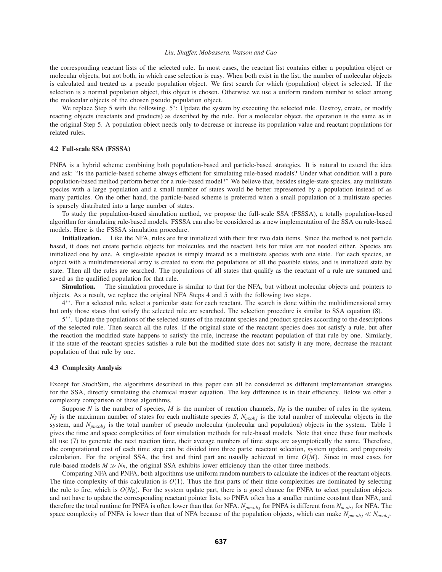the corresponding reactant lists of the selected rule. In most cases, the reactant list contains either a population object or molecular objects, but not both, in which case selection is easy. When both exist in the list, the number of molecular objects is calculated and treated as a pseudo population object. We first search for which (population) object is selected. If the selection is a normal population object, this object is chosen. Otherwise we use a uniform random number to select among the molecular objects of the chosen pseudo population object.

We replace Step 5 with the following. 5<sup>∗</sup>: Update the system by executing the selected rule. Destroy, create, or modify reacting objects (reactants and products) as described by the rule. For a molecular object, the operation is the same as in the original Step 5. A population object needs only to decrease or increase its population value and reactant populations for related rules.

### **4.2 Full-scale SSA (FSSSA)**

PNFA is a hybrid scheme combining both population-based and particle-based strategies. It is natural to extend the idea and ask: "Is the particle-based scheme always efficient for simulating rule-based models? Under what condition will a pure population-based method perform better for a rule-based model?" We believe that, besides single-state species, any multistate species with a large population and a small number of states would be better represented by a population instead of as many particles. On the other hand, the particle-based scheme is preferred when a small population of a multistate species is sparsely distributed into a large number of states.

To study the population-based simulation method, we propose the full-scale SSA (FSSSA), a totally population-based algorithm for simulating rule-based models. FSSSA can also be considered as a new implementation of the SSA on rule-based models. Here is the FSSSA simulation procedure.

**Initialization.** Like the NFA, rules are first initialized with their first two data items. Since the method is not particle based, it does not create particle objects for molecules and the reactant lists for rules are not needed either. Species are initialized one by one. A single-state species is simply treated as a multistate species with one state. For each species, an object with a multidimensional array is created to store the populations of all the possible states, and is initialized state by state. Then all the rules are searched. The populations of all states that qualify as the reactant of a rule are summed and saved as the qualified population for that rule.

**Simulation.** The simulation procedure is similar to that for the NFA, but without molecular objects and pointers to objects. As a result, we replace the original NFA Steps 4 and 5 with the following two steps.

4∗∗. For a selected rule, select a particular state for each reactant. The search is done within the multidimensional array but only those states that satisfy the selected rule are searched. The selection procedure is similar to SSA equation (8).

5<sup>∗∗</sup>. Update the populations of the selected states of the reactant species and product species according to the descriptions of the selected rule. Then search all the rules. If the original state of the reactant species does not satisfy a rule, but after the reaction the modified state happens to satisfy the rule, increase the reactant population of that rule by one. Similarly, if the state of the reactant species satisfies a rule but the modified state does not satisfy it any more, decrease the reactant population of that rule by one.

#### **4.3 Complexity Analysis**

Except for StochSim, the algorithms described in this paper can all be considered as different implementation strategies for the SSA, directly simulating the chemical master equation. The key difference is in their efficiency. Below we offer a complexity comparison of these algorithms.

Suppose *N* is the number of species, *M* is the number of reaction channels,  $N_R$  is the number of rules in the system, *NS* is the maximum number of states for each multistate species *S*, *Nm*:*ob j* is the total number of molecular objects in the system, and *N<sub>pm:obi</sub>* is the total number of pseudo molecular (molecular and population) objects in the system. Table 1 gives the time and space complexities of four simulation methods for rule-based models. Note that since these four methods all use (7) to generate the next reaction time, their average numbers of time steps are asymptotically the same. Therefore, the computational cost of each time step can be divided into three parts: reactant selection, system update, and propensity calculation. For the original SSA, the first and third part are usually achieved in time  $O(M)$ . Since in most cases for rule-based models  $M \gg N_R$ , the original SSA exhibits lower efficiency than the other three methods.

Comparing NFA and PNFA, both algorithms use uniform random numbers to calculate the indices of the reactant objects. The time complexity of this calculation is  $O(1)$ . Thus the first parts of their time complexities are dominated by selecting the rule to fire, which is  $O(N_R)$ . For the system update part, there is a good chance for PNFA to select population objects and not have to update the corresponding reactant pointer lists, so PNFA often has a smaller runtime constant than NFA, and therefore the total runtime for PNFA is often lower than that for NFA. *Npm*:*ob j* for PNFA is different from *Nm*:*ob j* for NFA. The space complexity of PNFA is lower than that of NFA because of the population objects, which can make  $N_{pm;obj} \ll N_{m;obj}$ .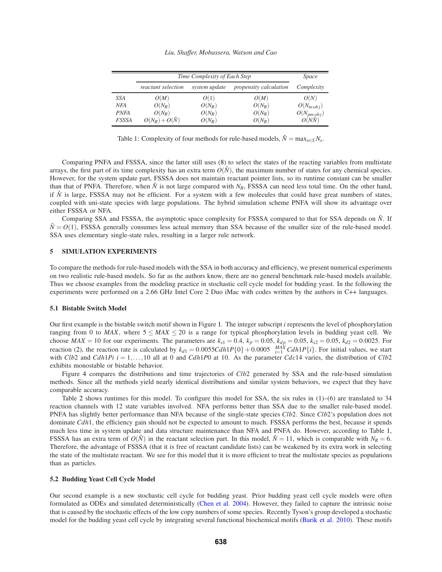|      |                    | Time Complexity of Each Step |                        | Space           |
|------|--------------------|------------------------------|------------------------|-----------------|
|      | reactant selection | system update                | propensity calculation | Complexity      |
| SSA  | O(M)               | O(1)                         | O(M)                   | O(N)            |
| NFA  | $O(N_R)$           | $O(N_R)$                     | $O(N_R)$               | $O(N_{m:obj})$  |
| PNFA | $O(N_R)$           | $O(N_R)$                     | $O(N_R)$               | $O(N_{pm:obj})$ |

*Liu, Shaffer, Mobassera, Watson and Cao*

Table 1: Complexity of four methods for rule-based models,  $\hat{N} = \max_{s \in S} N_s$ .

 $FSSSA$   $O(N_R) + O(\hat{N})$   $O(N_R)$   $O(N_R)$   $O(N_R)$ 

Comparing PNFA and FSSSA, since the latter still uses (8) to select the states of the reacting variables from multistate arrays, the first part of its time complexity has an extra term  $O(N)$ , the maximum number of states for any chemical species. However, for the system update part, FSSSA does not maintain reactant pointer lists, so its runtime constant can be smaller than that of PNFA. Therefore, when  $\hat{N}$  is not large compared with  $N_R$ , FSSSA can need less total time. On the other hand, if  $\hat{N}$  is large, FSSSA may not be efficient. For a system with a few molecules that could have great numbers of states, coupled with uni-state species with large populations. The hybrid simulation scheme PNFA will show its advantage over either FSSSA or NFA.

Comparing SSA and FSSSA, the asymptotic space complexity for FSSSA compared to that for SSA depends on  $\hat{N}$ . If  $\hat{N} = O(1)$ , FSSSA generally consumes less actual memory than SSA because of the smaller size of the rule-based model. SSA uses elementary single-state rules, resulting in a larger rule network.

## **5 SIMULATION EXPERIMENTS**

To compare the methods for rule-based models with the SSA in both accuracy and efficiency, we present numerical experiments on two realistic rule-based models. So far as the authors know, there are no general benchmark rule-based models available. Thus we choose examples from the modeling practice in stochastic cell cycle model for budding yeast. In the following the experiments were performed on a 2.66 GHz Intel Core 2 Duo iMac with codes written by the authors in C++ languages.

#### **5.1 Bistable Switch Model**

Our first example is the bistable switch motif shown in Figure 1. The integer subscript *i* represents the level of phosphorylation ranging from 0 to *MAX*, where  $5 \leq MAX \leq 20$  is a range for typical phosphorylation levels in budding yeast cell. We choose  $MAX = 10$  for our experiments. The parameters are  $k_{s1} = 0.4$ ,  $k_p = 0.05$ ,  $k_{dp} = 0.05$ ,  $k_{s2} = 0.05$ ,  $k_{d2} = 0.0025$ . For reaction (2), the reaction rate is calculated by  $k_{d1} = 0.0055Cdh1P\{0\} + 0.0005\sum_{i=1}^{MAX}Cdh1P\{i\}$ . For initial values, we start with  $Clb2$  and  $Cdh1Pi$   $i = 1,...,10$  all at 0 and  $Cdh1P0$  at 10. As the parameter  $Cdc14$  varies, the distribution of  $Clb2$ exhibits monostable or bistable behavior.

Figure 4 compares the distributions and time trajectories of *Clb*2 generated by SSA and the rule-based simulation methods. Since all the methods yield nearly identical distributions and similar system behaviors, we expect that they have comparable accuracy.

Table 2 shows runtimes for this model. To configure this model for SSA, the six rules in  $(1)$ –(6) are translated to 34 reaction channels with 12 state variables involved. NFA performs better than SSA due to the smaller rule-based model. PNFA has slightly better performance than NFA because of the single-state species *Clb*2. Since *Clb*2's population does not dominate *Cdh*1, the efficiency gain should not be expected to amount to much. FSSSA performs the best, because it spends much less time in system update and data structure maintenance than NFA and PNFA do. However, according to Table 1, FSSSA has an extra term of  $O(\hat{N})$  in the reactant selection part. In this model,  $\hat{N} = 11$ , which is comparable with  $N_R = 6$ . Therefore, the advantage of FSSSA (that it is free of reactant candidate lists) can be weakened by its extra work in selecting the state of the multistate reactant. We see for this model that it is more efficient to treat the multistate species as populations than as particles.

### **5.2 Budding Yeast Cell Cycle Model**

Our second example is a new stochastic cell cycle for budding yeast. Prior budding yeast cell cycle models were often formulated as ODEs and simulated deterministically (Chen et al. 2004). However, they failed to capture the intrinsic noise that is caused by the stochastic effects of the low copy numbers of some species. Recently Tyson's group developed a stochastic model for the budding yeast cell cycle by integrating several functional biochemical motifs (Barik et al. 2010). These motifs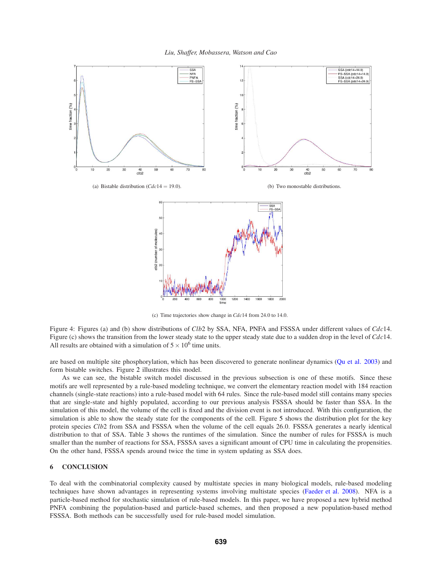



(c) Time trajectories show change in *Cdc*14 from 24.0 to 14.0.

Figure 4: Figures (a) and (b) show distributions of *Clb*2 by SSA, NFA, PNFA and FSSSA under different values of *Cdc*14. Figure (c) shows the transition from the lower steady state to the upper steady state due to a sudden drop in the level of *Cdc*14. All results are obtained with a simulation of  $5 \times 10^6$  time units.

are based on multiple site phosphorylation, which has been discovered to generate nonlinear dynamics (Qu et al. 2003) and form bistable switches. Figure 2 illustrates this model.

As we can see, the bistable switch model discussed in the previous subsection is one of these motifs. Since these motifs are well represented by a rule-based modeling technique, we convert the elementary reaction model with 184 reaction channels (single-state reactions) into a rule-based model with 64 rules. Since the rule-based model still contains many species that are single-state and highly populated, according to our previous analysis FSSSA should be faster than SSA. In the simulation of this model, the volume of the cell is fixed and the division event is not introduced. With this configuration, the simulation is able to show the steady state for the components of the cell. Figure 5 shows the distribution plot for the key protein species *Clb*2 from SSA and FSSSA when the volume of the cell equals 26.0. FSSSA generates a nearly identical distribution to that of SSA. Table 3 shows the runtimes of the simulation. Since the number of rules for FSSSA is much smaller than the number of reactions for SSA, FSSSA saves a significant amount of CPU time in calculating the propensities. On the other hand, FSSSA spends around twice the time in system updating as SSA does.

## **6 CONCLUSION**

To deal with the combinatorial complexity caused by multistate species in many biological models, rule-based modeling techniques have shown advantages in representing systems involving multistate species (Faeder et al. 2008). NFA is a particle-based method for stochastic simulation of rule-based models. In this paper, we have proposed a new hybrid method PNFA combining the population-based and particle-based schemes, and then proposed a new population-based method FSSSA. Both methods can be successfully used for rule-based model simulation.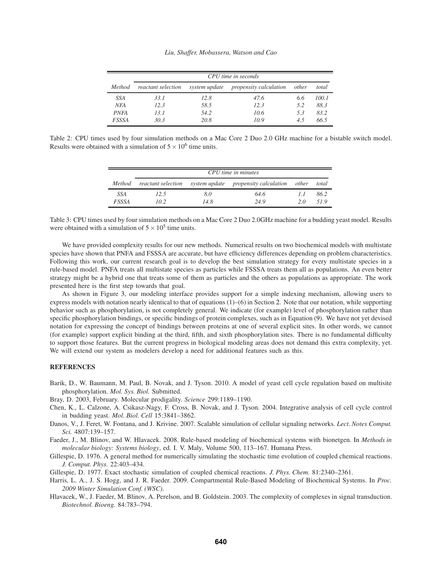|  |  |  | Liu, Shaffer, Mobassera, Watson and Cao |  |  |  |
|--|--|--|-----------------------------------------|--|--|--|
|--|--|--|-----------------------------------------|--|--|--|

|              | CPU time in seconds |      |                                            |     |       |  |
|--------------|---------------------|------|--------------------------------------------|-----|-------|--|
| Method       | reactant selection  |      | system update propensity calculation other |     | total |  |
| SSA          | 33.1                | 12.8 | 47.6                                       | 6.6 | 100.1 |  |
| <b>NFA</b>   | 12.3                | 58.5 | 12.3                                       | 5.2 | 88.3  |  |
| <b>PNFA</b>  | 13.1                | 54.2 | 10.6                                       | 5.3 | 83.2  |  |
| <b>FSSSA</b> | 30.3                | 20.8 | 10.9                                       | 4.5 | 66.5  |  |

Table 2: CPU times used by four simulation methods on a Mac Core 2 Duo 2.0 GHz machine for a bistable switch model. Results were obtained with a simulation of  $5 \times 10^6$  time units.

|              | CPU time in minutes |      |                                                         |          |       |  |  |
|--------------|---------------------|------|---------------------------------------------------------|----------|-------|--|--|
| Method       |                     |      | reactant selection system update propensity calculation | other    | total |  |  |
| SSA          | 12.5                | 8.0  | 64.6                                                    | $\prime$ | 86.2  |  |  |
| <i>FSSSA</i> | 10.2                | 14.8 | 24.9                                                    | 20       | 51.9  |  |  |

Table 3: CPU times used by four simulation methods on a Mac Core 2 Duo 2.0GHz machine for a budding yeast model. Results were obtained with a simulation of  $5 \times 10^5$  time units.

We have provided complexity results for our new methods. Numerical results on two biochemical models with multistate species have shown that PNFA and FSSSA are accurate, but have efficiency differences depending on problem characteristics. Following this work, our current research goal is to develop the best simulation strategy for every multistate species in a rule-based model. PNFA treats all multistate species as particles while FSSSA treats them all as populations. An even better strategy might be a hybrid one that treats some of them as particles and the others as populations as appropriate. The work presented here is the first step towards that goal.

As shown in Figure 3, our modeling interface provides support for a simple indexing mechanism, allowing users to express models with notation nearly identical to that of equations (1)–(6) in Section 2. Note that our notation, while supporting behavior such as phosphorylation, is not completely general. We indicate (for example) level of phosphorylation rather than specific phosphorylation bindings, or specific bindings of protein complexes, such as in Equation (9). We have not yet devised notation for expressing the concept of bindings between proteins at one of several explicit sites. In other words, we cannot (for example) support explicit binding at the third, fifth, and sixth phosphorylation sites. There is no fundamental difficulty to support those features. But the current progress in biological modeling areas does not demand this extra complexity, yet. We will extend our system as modelers develop a need for additional features such as this.

## **REFERENCES**

- Barik, D., W. Baumann, M. Paul, B. Novak, and J. Tyson. 2010. A model of yeast cell cycle regulation based on multisite phosphorylation. *Mol. Sys. Biol.* Submitted.
- Bray, D. 2003, February. Molecular prodigality. *Science* 299:1189–1190.
- Chen, K., L. Calzone, A. Csikasz-Nagy, F. Cross, B. Novak, and J. Tyson. 2004. Integrative analysis of cell cycle control in budding yeast. *Mol. Biol. Cell* 15:3841–3862.
- Danos, V., J. Feret, W. Fontana, and J. Krivine. 2007. Scalable simulation of cellular signaling networks. *Lect. Notes Comput. Sci.* 4807:139–157.
- Faeder, J., M. Blinov, and W. Hlavacek. 2008. Rule-based modeling of biochemical systems with bionetgen. In *Methods in molecular biology: Systems biology*, ed. I. V. Maly, Volume 500, 113–167. Humana Press.
- Gillespie, D. 1976. A general method for numerically simulating the stochastic time evolution of coupled chemical reactions. *J. Comput. Phys.* 22:403–434.
- Gillespie, D. 1977. Exact stochastic simulation of coupled chemical reactions. *J. Phys. Chem.* 81:2340–2361.
- Harris, L. A., J. S. Hogg, and J. R. Faeder. 2009. Compartmental Rule-Based Modeling of Biochemical Systems. In *Proc. 2009 Winter Simulation Conf. (WSC)*.
- Hlavacek, W., J. Faeder, M. Blinov, A. Perelson, and B. Goldstein. 2003. The complexity of complexes in signal transduction. *Biotechnol. Bioeng.* 84:783–794.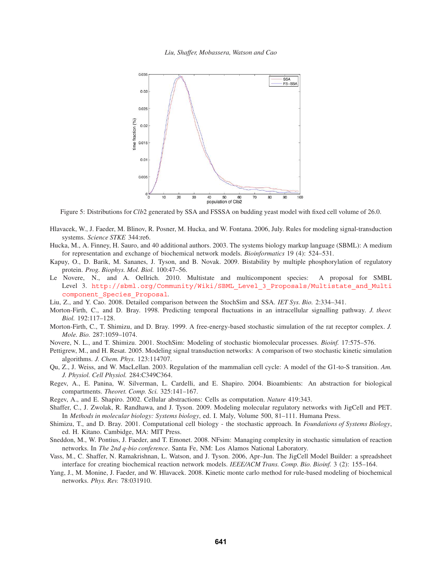

Figure 5: Distributions for *Clb*2 generated by SSA and FSSSA on budding yeast model with fixed cell volume of 26.0.

- Hlavacek, W., J. Faeder, M. Blinov, R. Posner, M. Hucka, and W. Fontana. 2006, July. Rules for modeling signal-transduction systems. *Science STKE* 344:re6.
- Hucka, M., A. Finney, H. Sauro, and 40 additional authors. 2003. The systems biology markup language (SBML): A medium for representation and exchange of biochemical network models. *Bioinformatics* 19 (4): 524–531.
- Kapuy, O., D. Barik, M. Sananes, J. Tyson, and B. Novak. 2009. Bistability by multiple phosphorylation of regulatory protein. *Prog. Biophys. Mol. Biol.* 100:47–56.
- Le Novere, N., and A. Oellrich. 2010. Multistate and multicomponent species: A proposal for SMBL Level 3. http://sbml.org/Community/Wiki/SBML\_Level\_3\_Proposals/Multistate\_and\_Multi component\_Species\_Proposal.
- Liu, Z., and Y. Cao. 2008. Detailed comparison between the StochSim and SSA. *IET Sys. Bio.* 2:334–341.
- Morton-Firth, C., and D. Bray. 1998. Predicting temporal fluctuations in an intracellular signalling pathway. *J. theor. Biol.* 192:117–128.
- Morton-Firth, C., T. Shimizu, and D. Bray. 1999. A free-energy-based stochastic simulation of the rat receptor complex. *J. Mole. Bio.* 287:1059–1074.
- Novere, N. L., and T. Shimizu. 2001. StochSim: Modeling of stochastic biomolecular processes. *Bioinf.* 17:575–576.
- Pettigrew, M., and H. Resat. 2005. Modeling signal transduction networks: A comparison of two stochastic kinetic simulation algorithms. *J. Chem. Phys.* 123:114707.
- Qu, Z., J. Weiss, and W. MacLellan. 2003. Regulation of the mammalian cell cycle: A model of the G1-to-S transition. *Am. J. Physiol. Cell Physiol.* 284:C349C364.
- Regev, A., E. Panina, W. Silverman, L. Cardelli, and E. Shapiro. 2004. Bioambients: An abstraction for biological compartments. *Theoret. Comp. Sci.* 325:141–167.
- Regev, A., and E. Shapiro. 2002. Cellular abstractions: Cells as computation. *Nature* 419:343.
- Shaffer, C., J. Zwolak, R. Randhawa, and J. Tyson. 2009. Modeling molecular regulatory networks with JigCell and PET. In *Methods in molecular biology: Systems biology*, ed. I. Maly, Volume 500, 81–111. Humana Press.
- Shimizu, T., and D. Bray. 2001. Computational cell biology the stochastic approach. In *Foundations of Systems Biology*, ed. H. Kitano. Cambidge, MA: MIT Press.
- Sneddon, M., W. Pontius, J. Faeder, and T. Emonet. 2008. NFsim: Managing complexity in stochastic simulation of reaction networks. In *The 2nd q-bio conference*. Santa Fe, NM: Los Alamos National Laboratory.
- Vass, M., C. Shaffer, N. Ramakrishnan, L. Watson, and J. Tyson. 2006, Apr–Jun. The JigCell Model Builder: a spreadsheet interface for creating biochemical reaction network models. *IEEE/ACM Trans. Comp. Bio. Bioinf.* 3 (2): 155–164.
- Yang, J., M. Monine, J. Faeder, and W. Hlavacek. 2008. Kinetic monte carlo method for rule-based modeling of biochemical networks. *Phys. Rev.* 78:031910.